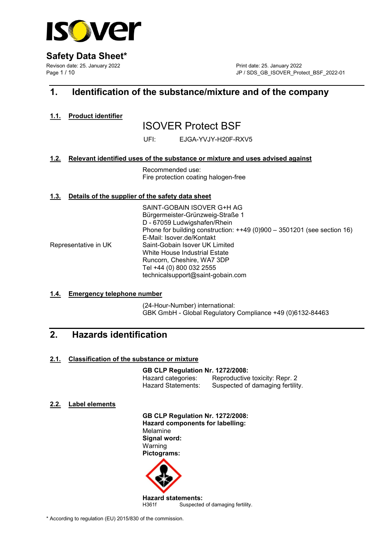

Revison date: 25. January 2022 Print date: 25. January 2022 Page 1 / 10 JP / SDS\_GB\_ISOVER\_Protect\_BSF\_2022-01

## 1. Identification of the substance/mixture and of the company

1.1. Product identifier

# ISOVER Protect BSF

UFI: EJGA-YVJY-H20F-RXV5

## 1.2. Relevant identified uses of the substance or mixture and uses advised against

 Recommended use: Fire protection coating halogen-free

## 1.3. Details of the supplier of the safety data sheet

 SAINT-GOBAIN ISOVER G+H AG Bürgermeister-Grünzweig-Straße 1 D - 67059 Ludwigshafen/Rhein Phone for building construction: ++49 (0)900 – 3501201 (see section 16) E-Mail: Isover.de/Kontakt Representative in UK Saint-Gobain Isover UK Limited White House Industrial Estate Runcorn, Cheshire, WA7 3DP Tel +44 (0) 800 032 2555 technicalsupport@saint-gobain.com

### 1.4. Emergency telephone number

 (24-Hour-Number) international: GBK GmbH - Global Regulatory Compliance +49 (0)6132-84463

## 2. Hazards identification

## 2.1. Classification of the substance or mixture

### GB CLP Regulation Nr. 1272/2008:

 Hazard categories: Reproductive toxicity: Repr. 2 Suspected of damaging fertility.

## 2.2. Label elements

 GB CLP Regulation Nr. 1272/2008: Hazard components for labelling: Melamine Signal word: Warning Pictograms:

**Hazard statements:**<br>H361f Suspected Suspected of damaging fertility.

\* According to regulation (EU) 2015/830 of the commission.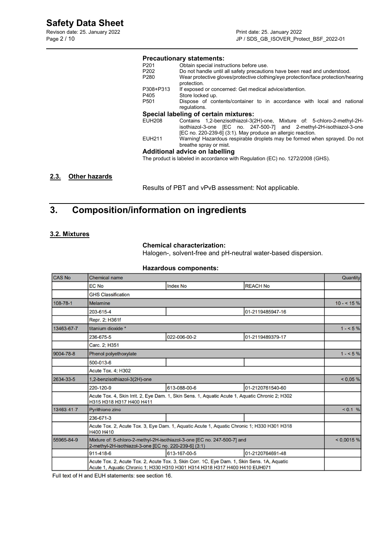Revison date: 25. January 2022<br>
Page 2 / 10<br>
Print date: 25. January 2022<br>
Page 2 / 10

## **Precautionary statements:**<br>P201 Obtain special instru P201 Obtain special instructions before use.<br>P202 Do not handle until all safety precaution

| P <sub>202</sub> | Do not handle until all safety precautions have been read and understood.         |
|------------------|-----------------------------------------------------------------------------------|
| P <sub>280</sub> | Wear protective gloves/protective clothing/eye protection/face protection/hearing |
|                  | protection.                                                                       |
| P308+P313        | If exposed or concerned: Get medical advice/attention.                            |
| P405             | Store locked up.                                                                  |
| P <sub>501</sub> | Dispose of contents/container to in accordance with local and national            |
|                  | regulations.                                                                      |
|                  | Special labeling of certain mixtures:                                             |
| EUH208           | Contains 1,2-benzisothiazol-3(2H)-one, Mixture of: 5-chloro-2-methyl-2H-          |
|                  | isothiazol-3-one [EC no. 247-500-7] and 2-methyl-2H-isothiazol-3-one              |
|                  | [EC no. 220-239-6] (3:1). May produce an allergic reaction.                       |
| EUH211           | Warning! Hazardous respirable droplets may be formed when sprayed. Do not         |
|                  | breathe spray or mist.                                                            |
|                  | Additional advice on labelling                                                    |

The product is labeled in accordance with Regulation (EC) no. 1272/2008 (GHS).

## 2.3. Other hazards

Results of PBT and vPvB assessment: Not applicable.

## 3. Composition/information on ingredients

### 3.2. Mixtures

#### Chemical characterization:

Halogen-, solvent-free and pH-neutral water-based dispersion.

#### Hazardous components:

| <b>CAS No</b> | <b>Chemical name</b>                                                                                                                                                      |                 |                  | Quantity   |  |
|---------------|---------------------------------------------------------------------------------------------------------------------------------------------------------------------------|-----------------|------------------|------------|--|
|               | EC No                                                                                                                                                                     | <b>Index No</b> | <b>REACH No</b>  |            |  |
|               | <b>GHS Classification</b>                                                                                                                                                 |                 |                  |            |  |
| 108-78-1      | <b>Melamine</b>                                                                                                                                                           |                 |                  | $10 - 5\%$ |  |
|               | 203-615-4                                                                                                                                                                 |                 | 01-2119485947-16 |            |  |
|               | Repr. 2; H361f                                                                                                                                                            |                 |                  |            |  |
| 13463-67-7    | titanium dioxide *                                                                                                                                                        |                 |                  | $1 - 5\%$  |  |
|               | 236-675-5                                                                                                                                                                 | 022-006-00-2    | 01-2119489379-17 |            |  |
|               | Carc. 2: H351                                                                                                                                                             |                 |                  |            |  |
| 9004-78-8     | Phenol polyethoxylate                                                                                                                                                     | $1 - 5\%$       |                  |            |  |
|               | 500-013-6                                                                                                                                                                 |                 |                  |            |  |
|               | <b>Acute Tox. 4: H302</b>                                                                                                                                                 |                 |                  |            |  |
| 2634-33-5     | 1,2-benzisothiazol-3(2H)-one                                                                                                                                              | < 0.05 %        |                  |            |  |
|               | 220-120-9                                                                                                                                                                 | 613-088-00-6    | 01-2120761540-60 |            |  |
|               | Acute Tox. 4, Skin Irrit. 2, Eye Dam. 1, Skin Sens. 1, Aquatic Acute 1, Aquatic Chronic 2; H302<br>H315 H318 H317 H400 H411                                               |                 |                  |            |  |
| 13463-41-7    | <b>Pyrithione zinc</b>                                                                                                                                                    | < 0.1 %         |                  |            |  |
|               | 236-671-3                                                                                                                                                                 |                 |                  |            |  |
|               | Acute Tox. 2, Acute Tox. 3, Eye Dam. 1, Aquatic Acute 1, Aquatic Chronic 1; H330 H301 H318<br>H400 H410                                                                   |                 |                  |            |  |
| 55965-84-9    | Mixture of: 5-chloro-2-methyl-2H-isothiazol-3-one [EC no. 247-500-7] and<br>2-methyl-2H-isothiazol-3-one [EC no. 220-239-6] (3:1)                                         |                 |                  |            |  |
|               | 911-418-6                                                                                                                                                                 | 613-167-00-5    | 01-2120764691-48 |            |  |
|               | Acute Tox. 2, Acute Tox. 2, Acute Tox. 3, Skin Corr. 1C, Eye Dam. 1, Skin Sens. 1A, Aquatic<br>Acute 1, Aquatic Chronic 1; H330 H310 H301 H314 H318 H317 H400 H410 EUH071 |                 |                  |            |  |

Full text of H and EUH statements: see section 16.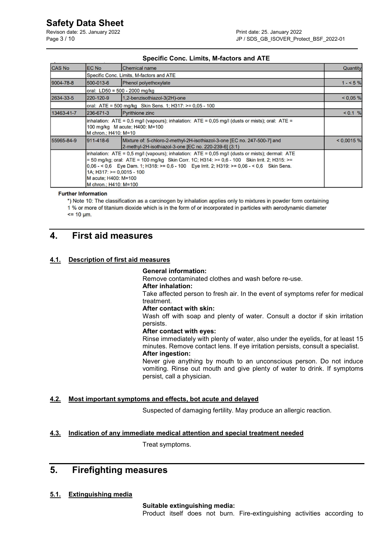Revison date: 25. January 2022 **Print date: 25. January 2022** 

### Specific Conc. Limits, M-factors and ATE

| <b>CAS No</b> | <b>EC No</b>                                                                                                                                                                                                                                                                                                                                                                       | <b>Chemical name</b>                                                                                                              | Quantity   |  |
|---------------|------------------------------------------------------------------------------------------------------------------------------------------------------------------------------------------------------------------------------------------------------------------------------------------------------------------------------------------------------------------------------------|-----------------------------------------------------------------------------------------------------------------------------------|------------|--|
|               | Specific Conc. Limits, M-factors and ATE                                                                                                                                                                                                                                                                                                                                           |                                                                                                                                   |            |  |
| 9004-78-8     | 500-013-6                                                                                                                                                                                                                                                                                                                                                                          | Phenol polyethoxylate                                                                                                             | $1 - 5\%$  |  |
|               |                                                                                                                                                                                                                                                                                                                                                                                    | oral: LD50 = 500 - 2000 mg/kg                                                                                                     |            |  |
| 2634-33-5     | 220-120-9                                                                                                                                                                                                                                                                                                                                                                          | 1,2-benzisothiazol-3(2H)-one                                                                                                      | < 0.05 %   |  |
|               |                                                                                                                                                                                                                                                                                                                                                                                    | oral: ATE = 500 mg/kg Skin Sens. 1; H317: >= 0,05 - 100                                                                           |            |  |
| 13463-41-7    | 236-671-3                                                                                                                                                                                                                                                                                                                                                                          | <b>Pyrithione zinc</b>                                                                                                            | < 0.1 %    |  |
|               | $\lambda$ inhalation: ATE = 0,5 mg/l (vapours); inhalation: ATE = 0,05 mg/l (dusts or mists); oral: ATE =<br>100 mg/kg M acute; H400: M=100<br>M chron.: H410: M=10                                                                                                                                                                                                                |                                                                                                                                   |            |  |
| 55965-84-9    | 911-418-6                                                                                                                                                                                                                                                                                                                                                                          | Mixture of: 5-chloro-2-methyl-2H-isothiazol-3-one [EC no. 247-500-7] and<br>2-methyl-2H-isothiazol-3-one [EC no. 220-239-6] (3:1) | < 0.0015 % |  |
|               | inhalation: $ATE = 0.5$ mg/l (vapours); inhalation: $ATE = 0.05$ mg/l (dusts or mists); dermal: ATE<br>= 50 mg/kg; oral: ATE = 100 mg/kg Skin Corr. 1C; H314: >= 0,6 - 100 Skin Irrit. 2; H315: >=<br>$0.06 - 5.06$ Eye Dam. 1; H318: >= 0.6 - 100 Eye Irrit. 2; H319: >= 0.06 - < 0.6 Skin Sens.<br>$1A$ ; H317: >= 0,0015 - 100<br>M acute: H400: M=100<br>M chron.; H410: M=100 |                                                                                                                                   |            |  |

**Further Information** 

\*) Note 10: The classification as a carcinogen by inhalation applies only to mixtures in powder form containing 1 % or more of titanium dioxide which is in the form of or incorporated in particles with aerodynamic diameter  $\leq$  10  $\mu$ m.

## 4. First aid measures

### 4.1. Description of first aid measures

#### General information:

Remove contaminated clothes and wash before re-use.

#### After inhalation:

 Take affected person to fresh air. In the event of symptoms refer for medical treatment.

#### After contact with skin:

 Wash off with soap and plenty of water. Consult a doctor if skin irritation persists.

#### After contact with eyes:

 Rinse immediately with plenty of water, also under the eyelids, for at least 15 minutes. Remove contact lens. If eye irritation persists, consult a specialist. After ingestion:

 Never give anything by mouth to an unconscious person. Do not induce vomiting. Rinse out mouth and give plenty of water to drink. If symptoms persist, call a physician.

### 4.2. Most important symptoms and effects, bot acute and delayed

Suspected of damaging fertility. May produce an allergic reaction.

### 4.3. Indication of any immediate medical attention and special treatment needed

Treat symptoms.

## 5. Firefighting measures

### 5.1. Extinguishing media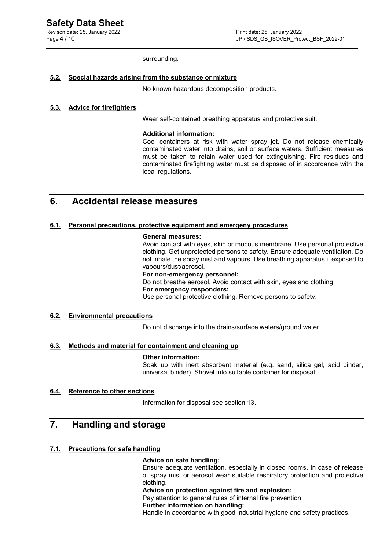Revison date: 25. January 2022 **Print date: 25. January 2022** 

surrounding.

#### 5.2. Special hazards arising from the substance or mixture

No known hazardous decomposition products.

### 5.3. Advice for firefighters

Wear self-contained breathing apparatus and protective suit.

#### Additional information:

 Cool containers at risk with water spray jet. Do not release chemically contaminated water into drains, soil or surface waters. Sufficient measures must be taken to retain water used for extinguishing. Fire residues and contaminated firefighting water must be disposed of in accordance with the local regulations.

## 6. Accidental release measures

#### 6.1. Personal precautions, protective equipment and emergeny procedures

#### General measures:

 Avoid contact with eyes, skin or mucous membrane. Use personal protective clothing. Get unprotected persons to safety. Ensure adequate ventilation. Do not inhale the spray mist and vapours. Use breathing apparatus if exposed to vapours/dust/aerosol.

#### For non-emergency personnel:

Do not breathe aerosol. Avoid contact with skin, eyes and clothing.

#### For emergency responders:

Use personal protective clothing. Remove persons to safety.

#### 6.2. Environmental precautions

Do not discharge into the drains/surface waters/ground water.

### 6.3. Methods and material for containment and cleaning up

#### Other information:

Soak up with inert absorbent material (e.g. sand, silica gel, acid binder, universal binder). Shovel into suitable container for disposal.

#### 6.4. Reference to other sections

Information for disposal see section 13.

## 7. Handling and storage

#### 7.1. Precautions for safe handling

#### Advice on safe handling:

 Ensure adequate ventilation, especially in closed rooms. In case of release of spray mist or aerosol wear suitable respiratory protection and protective clothing.

#### Advice on protection against fire and explosion:

Pay attention to general rules of internal fire prevention.

#### Further information on handling:

Handle in accordance with good industrial hygiene and safety practices.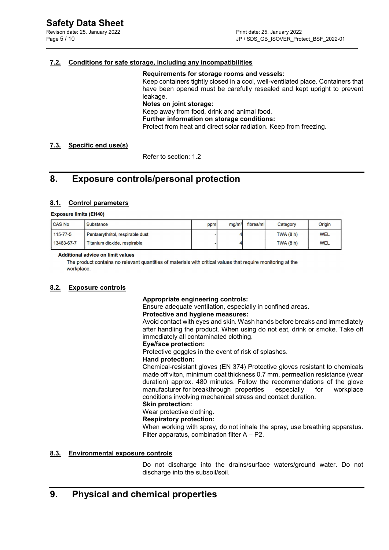### 7.2. Conditions for safe storage, including any incompatibilities

#### Requirements for storage rooms and vessels:

 Keep containers tightly closed in a cool, well-ventilated place. Containers that have been opened must be carefully resealed and kept upright to prevent leakage.

Notes on joint storage:

Keep away from food, drink and animal food.

Further information on storage conditions:

Protect from heat and direct solar radiation. Keep from freezing.

### 7.3. Specific end use(s)

Refer to section: 1.2

## 8. Exposure controls/personal protection

### 8.1. Control parameters

#### **Exposure limits (EH40)**

| <b>CAS No</b>  | <b>Substance</b>                 | ppm | ma/m <sup>3</sup> | fibres/mll | Category         | Origin     |
|----------------|----------------------------------|-----|-------------------|------------|------------------|------------|
| $115 - 77 - 5$ | Pentaerythritol, respirable dust |     |                   |            | <b>TWA (8 h)</b> | <b>WEL</b> |
| 13463-67-7     | Titanium dioxide, respirable     |     |                   |            | TWA(8h)          | <b>WEL</b> |

#### **Additional advice on limit values**

The product contains no relevant quantities of materials with critical values that require monitoring at the workplace.

#### 8.2. Exposure controls

#### Appropriate engineering controls:

Ensure adequate ventilation, especially in confined areas.

#### Protective and hygiene measures:

 Avoid contact with eyes and skin. Wash hands before breaks and immediately after handling the product. When using do not eat, drink or smoke. Take off immediately all contaminated clothing.

#### Eye/face protection:

Protective goggles in the event of risk of splashes.

#### Hand protection:

 Chemical-resistant gloves (EN 374) Protective gloves resistant to chemicals made off viton, minimum coat thickness 0.7 mm, permeation resistance (wear duration) approx. 480 minutes. Follow the recommendations of the glove manufacturer for breakthrough properties especially for workplace conditions involving mechanical stress and contact duration.

#### Skin protection:

### Wear protective clothing.

#### Respiratory protection:

 When working with spray, do not inhale the spray, use breathing apparatus. Filter apparatus, combination filter A – P2.

#### 8.3. Environmental exposure controls

 Do not discharge into the drains/surface waters/ground water. Do not discharge into the subsoil/soil.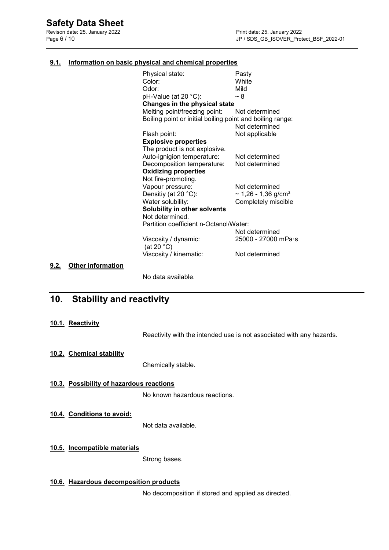Revison date: 25. January 2022<br>
Page 6 / 10<br>
Print date: 25. January 2022<br>
Page 6 / 10

#### 9.1. Information on basic physical and chemical properties

|      |                          | Physical state:                                           | Pasty                                |
|------|--------------------------|-----------------------------------------------------------|--------------------------------------|
|      |                          | Color:                                                    | White                                |
|      |                          |                                                           |                                      |
|      |                          | Odor:                                                     | Mild                                 |
|      |                          | pH-Value (at 20 °C):                                      | $~\sim 8$                            |
|      |                          | Changes in the physical state                             |                                      |
|      |                          | Melting point/freezing point:                             | Not determined                       |
|      |                          | Boiling point or initial boiling point and boiling range: |                                      |
|      |                          |                                                           | Not determined                       |
|      |                          | Flash point:                                              | Not applicable                       |
|      |                          | <b>Explosive properties</b>                               |                                      |
|      |                          | The product is not explosive.                             |                                      |
|      |                          | Auto-ignigion temperature:                                | Not determined                       |
|      |                          | Decomposition temperature:                                | Not determined                       |
|      |                          | <b>Oxidizing properties</b>                               |                                      |
|      |                          | Not fire-promoting.                                       |                                      |
|      |                          | Vapour pressure:                                          | Not determined                       |
|      |                          | Densitiy (at 20 °C):                                      | $\sim$ 1,26 - 1,36 g/cm <sup>3</sup> |
|      |                          | Water solubility:                                         | Completely miscible                  |
|      |                          | Solubility in other solvents                              |                                      |
|      |                          | Not determined.                                           |                                      |
|      |                          | Partition coefficient n-Octanol/Water:                    |                                      |
|      |                          |                                                           | Not determined                       |
|      |                          | Viscosity / dynamic:                                      | 25000 - 27000 mPa·s                  |
|      |                          | (at 20 $°C$ )                                             |                                      |
|      |                          | Viscosity / kinematic:                                    | Not determined                       |
| 9.2. | <b>Other information</b> |                                                           |                                      |
|      |                          | No data available.                                        |                                      |
|      |                          |                                                           |                                      |

## 10. Stability and reactivity

#### 10.1. Reactivity

 $9.2.$ 

Reactivity with the intended use is not associated with any hazards.

## 10.2. Chemical stability

Chemically stable.

## 10.3. Possibility of hazardous reactions

No known hazardous reactions.

10.4. Conditions to avoid:

Not data available.

## 10.5. Incompatible materials

Strong bases.

### 10.6. Hazardous decomposition products

No decomposition if stored and applied as directed.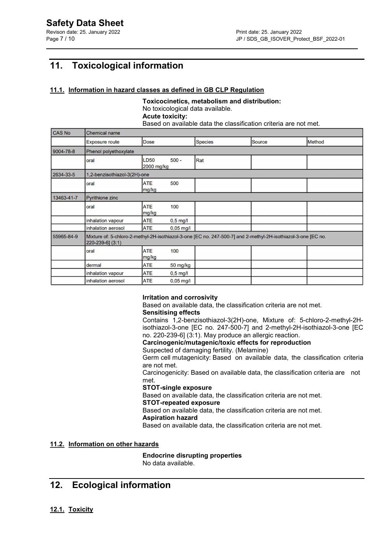## 11. Toxicological information

### 11.1. Information in hazard classes as defined in GB CLP Regulation

Toxicocinetics, metabolism and distribution: No toxicological data available. Acute toxicity: Based on available data the classification criteria are not met.

| <b>CAS No</b> | <b>Chemical name</b>         |                           |             |                                                                                                               |               |               |
|---------------|------------------------------|---------------------------|-------------|---------------------------------------------------------------------------------------------------------------|---------------|---------------|
|               | <b>Exposure route</b>        | <b>Dose</b>               |             | <b>Species</b>                                                                                                | <b>Source</b> | <b>Method</b> |
| 9004-78-8     | Phenol polyethoxylate        |                           |             |                                                                                                               |               |               |
|               | oral                         | <b>LD50</b><br>2000 mg/kg | $500 -$     | Rat                                                                                                           |               |               |
| 2634-33-5     | 1,2-benzisothiazol-3(2H)-one |                           |             |                                                                                                               |               |               |
|               | oral                         | <b>ATE</b><br>mg/kg       | 500         |                                                                                                               |               |               |
| 13463-41-7    | <b>Pyrithione zinc</b>       |                           |             |                                                                                                               |               |               |
|               | oral                         | <b>ATE</b><br>mg/kg       | 100         |                                                                                                               |               |               |
|               | inhalation vapour            | <b>ATE</b>                | $0,5$ mg/l  |                                                                                                               |               |               |
|               | inhalation aerosol           | <b>ATE</b>                | $0,05$ mg/l |                                                                                                               |               |               |
| 55965-84-9    | 220-239-6] (3:1)             |                           |             | Mixture of: 5-chloro-2-methyl-2H-isothiazol-3-one [EC no. 247-500-7] and 2-methyl-2H-isothiazol-3-one [EC no. |               |               |
|               | oral                         | <b>ATE</b><br>mg/kg       | 100         |                                                                                                               |               |               |
|               | dermal                       | <b>ATE</b>                | 50 mg/kg    |                                                                                                               |               |               |
|               | inhalation vapour            | <b>ATE</b>                | $0,5$ mg/l  |                                                                                                               |               |               |
|               | inhalation aerosol           | <b>ATE</b>                | $0,05$ mg/l |                                                                                                               |               |               |

### Irritation and corrosivity

Based on available data, the classification criteria are not met.

## Sensitising effects

 Contains 1,2-benzisothiazol-3(2H)-one, Mixture of: 5-chloro-2-methyl-2H isothiazol-3-one [EC no. 247-500-7] and 2-methyl-2H-isothiazol-3-one [EC no. 220-239-6] (3:1). May produce an allergic reaction.

#### Carcinogenic/mutagenic/toxic effects for reproduction

Suspected of damaging fertility. (Melamine)

 Germ cell mutagenicity: Based on available data, the classification criteria are not met.

 Carcinogenicity: Based on available data, the classification criteria are not met.

#### STOT-single exposure

Based on available data, the classification criteria are not met.

#### STOT-repeated exposure

Based on available data, the classification criteria are not met.

### Aspiration hazard

Based on available data, the classification criteria are not met.

### 11.2. Information on other hazards

Endocrine disrupting properties No data available.

## 12. Ecological information

12.1. Toxicity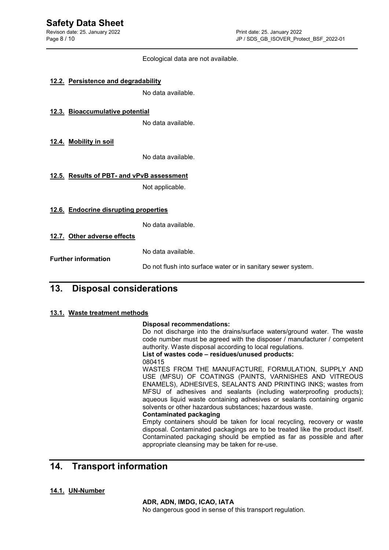Ecological data are not available.

|     | 12.2. Persistence and degradability       |                                                              |
|-----|-------------------------------------------|--------------------------------------------------------------|
|     |                                           | No data available.                                           |
|     | 12.3. Bioaccumulative potential           | No data available.                                           |
|     | <u>12.4. Mobility in soil</u>             |                                                              |
|     |                                           | No data available.                                           |
|     | 12.5. Results of PBT- and vPvB assessment | Not applicable.                                              |
|     | 12.6. Endocrine disrupting properties     |                                                              |
|     |                                           | No data available.                                           |
|     | 12.7. Other adverse effects               |                                                              |
|     | <b>Further information</b>                | No data available.                                           |
|     |                                           | Do not flush into surface water or in sanitary sewer system. |
| 13. | <b>Disposal considerations</b>            |                                                              |

## 13.1. Waste treatment methods

### Disposal recommendations:

 Do not discharge into the drains/surface waters/ground water. The waste code number must be agreed with the disposer / manufacturer / competent authority. Waste disposal according to local regulations.

List of wastes code – residues/unused products: 080415

 WASTES FROM THE MANUFACTURE, FORMULATION, SUPPLY AND USE (MFSU) OF COATINGS (PAINTS, VARNISHES AND VITREOUS ENAMELS), ADHESIVES, SEALANTS AND PRINTING INKS; wastes from MFSU of adhesives and sealants (including waterproofing products); aqueous liquid waste containing adhesives or sealants containing organic solvents or other hazardous substances; hazardous waste.

#### Contaminated packaging

 Empty containers should be taken for local recycling, recovery or waste disposal. Contaminated packagings are to be treated like the product itself. Contaminated packaging should be emptied as far as possible and after appropriate cleansing may be taken for re-use.

## 14. Transport information

## 14.1. UN-Number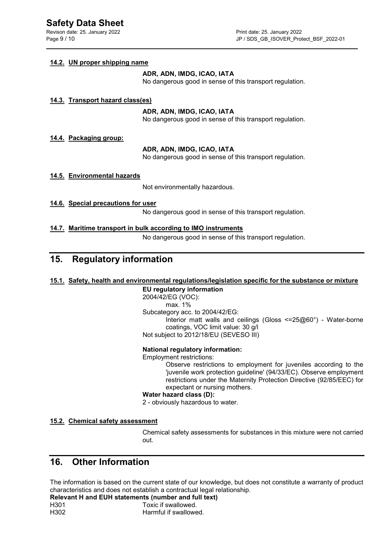Revison date: 25. January 2022 **Print date: 25. January 2022** 

#### 14.2. UN proper shipping name

#### ADR, ADN, IMDG, ICAO, IATA

No dangerous good in sense of this transport regulation.

### 14.3. Transport hazard class(es)

#### ADR, ADN, IMDG, ICAO, IATA

No dangerous good in sense of this transport regulation.

### 14.4. Packaging group:

### ADR, ADN, IMDG, ICAO, IATA

No dangerous good in sense of this transport regulation.

### 14.5. Environmental hazards

Not environmentally hazardous.

- 14.6. Special precautions for user No dangerous good in sense of this transport regulation.
- 14.7. Maritime transport in bulk according to IMO instruments No dangerous good in sense of this transport regulation.

## 15. Regulatory information

#### 15.1. Safety, health and environmental regulations/legislation specific for the substance or mixture

### EU regulatory information

## 2004/42/EG (VOC):

 max. 1% Subcategory acc. to 2004/42/EG: Interior matt walls and ceilings (Gloss <=25@60°) - Water-borne coatings, VOC limit value: 30 g/l Not subject to 2012/18/EU (SEVESO III)

#### National regulatory information:

Employment restrictions:

 Observe restrictions to employment for juveniles according to the 'juvenile work protection guideline' (94/33/EC). Observe employment restrictions under the Maternity Protection Directive (92/85/EEC) for expectant or nursing mothers.

#### Water hazard class (D):

2 - obviously hazardous to water.

#### 15.2. Chemical safety assessment

 Chemical safety assessments for substances in this mixture were not carried out. The contract of the contract of the contract of the contract of the contract of the contract of the contra

## 16. Other Information

The information is based on the current state of our knowledge, but does not constitute a warranty of product characteristics and does not establish a contractual legal relationship.

Relevant H and EUH statements (number and full text) H301 Toxic if swallowed. H302 Harmful if swallowed.